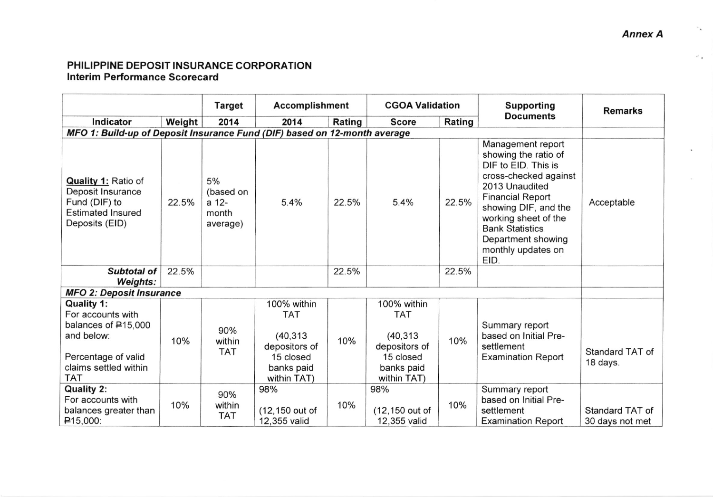## PHILIPPINE DEPOSIT INSURANCE CORPORATION lnterim Performance Scorecard

|                                                                                                                             |        | <b>Target</b>                                 | <b>Accomplishment</b>                                                              |        | <b>CGOA Validation</b>                                                             |        | <b>Supporting</b><br><b>Documents</b>                                                                                                                                                                                                                                | <b>Remarks</b>                     |
|-----------------------------------------------------------------------------------------------------------------------------|--------|-----------------------------------------------|------------------------------------------------------------------------------------|--------|------------------------------------------------------------------------------------|--------|----------------------------------------------------------------------------------------------------------------------------------------------------------------------------------------------------------------------------------------------------------------------|------------------------------------|
| Indicator                                                                                                                   | Weight | 2014                                          | 2014                                                                               | Rating | <b>Score</b>                                                                       | Rating |                                                                                                                                                                                                                                                                      |                                    |
|                                                                                                                             |        |                                               | MFO 1: Build-up of Deposit Insurance Fund (DIF) based on 12-month average          |        |                                                                                    |        |                                                                                                                                                                                                                                                                      |                                    |
| <b>Quality 1: Ratio of</b><br>Deposit Insurance<br>Fund (DIF) to<br><b>Estimated Insured</b><br>Deposits (EID)              | 22.5%  | 5%<br>(based on<br>a 12-<br>month<br>average) | 5.4%                                                                               | 22.5%  | 5.4%                                                                               | 22.5%  | Management report<br>showing the ratio of<br>DIF to EID. This is<br>cross-checked against<br>2013 Unaudited<br><b>Financial Report</b><br>showing DIF, and the<br>working sheet of the<br><b>Bank Statistics</b><br>Department showing<br>monthly updates on<br>EID. | Acceptable                         |
| <b>Subtotal of</b><br><b>Weights:</b>                                                                                       | 22.5%  |                                               |                                                                                    | 22.5%  |                                                                                    | 22.5%  |                                                                                                                                                                                                                                                                      |                                    |
| <b>MFO 2: Deposit Insurance</b>                                                                                             |        |                                               |                                                                                    |        |                                                                                    |        |                                                                                                                                                                                                                                                                      |                                    |
| <b>Quality 1:</b><br>For accounts with<br>balances of P15,000<br>and below:<br>Percentage of valid<br>claims settled within | 10%    | 90%<br>within<br><b>TAT</b>                   | 100% within<br><b>TAT</b><br>(40, 313)<br>depositors of<br>15 closed<br>banks paid | 10%    | 100% within<br><b>TAT</b><br>(40, 313)<br>depositors of<br>15 closed<br>banks paid | 10%    | Summary report<br>based on Initial Pre-<br>settlement<br><b>Examination Report</b>                                                                                                                                                                                   | Standard TAT of<br>18 days.        |
| <b>TAT</b><br><b>Quality 2:</b><br>For accounts with<br>balances greater than<br>$\mathsf{P}15,000$ :                       | 10%    | 90%<br>within<br><b>TAT</b>                   | within TAT)<br>98%<br>(12,150 out of<br>12,355 valid                               | 10%    | within TAT)<br>98%<br>(12,150 out of<br>12,355 valid                               | 10%    | Summary report<br>based on Initial Pre-<br>settlement<br><b>Examination Report</b>                                                                                                                                                                                   | Standard TAT of<br>30 days not met |

 $\sigma^2$  .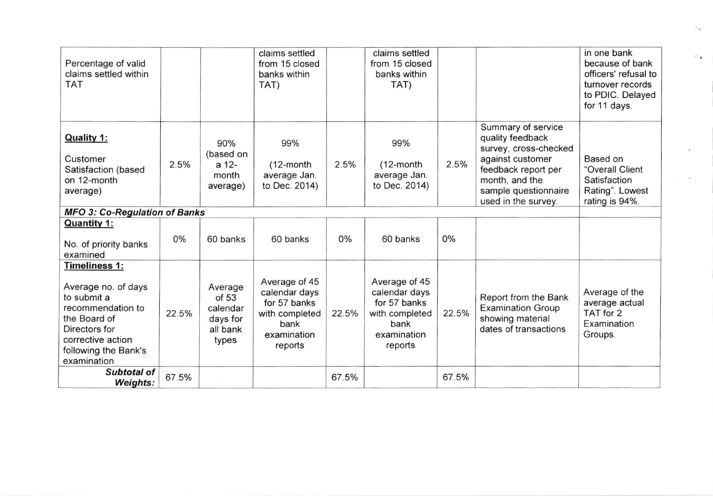| Percentage of valid<br>claims settled within<br><b>TAT</b>                                                                                                                   |       |                                                               | claims settled<br>from 15 closed<br>banks within<br>TAT)                                           |       | claims settled<br>from 15 closed<br>banks within<br>TAT)                                           |       |                                                                                                                                                                             | in one bank<br>because of bank<br>officers' refusal to<br>turnover records<br>to PDIC. Delayed<br>for 11 days. |
|------------------------------------------------------------------------------------------------------------------------------------------------------------------------------|-------|---------------------------------------------------------------|----------------------------------------------------------------------------------------------------|-------|----------------------------------------------------------------------------------------------------|-------|-----------------------------------------------------------------------------------------------------------------------------------------------------------------------------|----------------------------------------------------------------------------------------------------------------|
| Quality 1:<br>Customer<br>Satisfaction (based<br>on 12-month<br>average)                                                                                                     | 2.5%  | 90%<br>(based on<br>a 12-<br>month<br>average)                | 99%<br>$(12$ -month<br>average Jan.<br>to Dec. 2014)                                               | 2.5%  | 99%<br>$(12$ -month<br>average Jan.<br>to Dec. 2014)                                               | 2.5%  | Summary of service<br>quality feedback<br>survey, cross-checked<br>against customer<br>feedback report per<br>month, and the<br>sample questionnaire<br>used in the survey. | Based on<br>"Overall Client<br>Satisfaction<br>Rating". Lowest<br>rating is 94%.                               |
| <b>MFO 3: Co-Regulation of Banks</b>                                                                                                                                         |       |                                                               |                                                                                                    |       |                                                                                                    |       |                                                                                                                                                                             |                                                                                                                |
| <b>Quantity 1:</b><br>No. of priority banks<br>examined                                                                                                                      | $0\%$ | 60 banks                                                      | 60 banks                                                                                           | 0%    | 60 banks                                                                                           | $0\%$ |                                                                                                                                                                             |                                                                                                                |
| <b>Timeliness 1:</b><br>Average no. of days<br>to submit a<br>recommendation to<br>the Board of<br>Directors for<br>corrective action<br>following the Bank's<br>examination | 22.5% | Average<br>of 53<br>calendar<br>days for<br>all bank<br>types | Average of 45<br>calendar days<br>for 57 banks<br>with completed<br>bank<br>examination<br>reports | 22.5% | Average of 45<br>calendar days<br>for 57 banks<br>with completed<br>bank<br>examination<br>reports | 22.5% | Report from the Bank<br><b>Examination Group</b><br>showing material<br>dates of transactions                                                                               | Average of the<br>average actual<br>TAT for 2<br>Examination<br>Groups.                                        |
| <b>Subtotal of</b><br><b>Weights:</b>                                                                                                                                        | 67.5% |                                                               |                                                                                                    | 67.5% |                                                                                                    | 67.5% |                                                                                                                                                                             |                                                                                                                |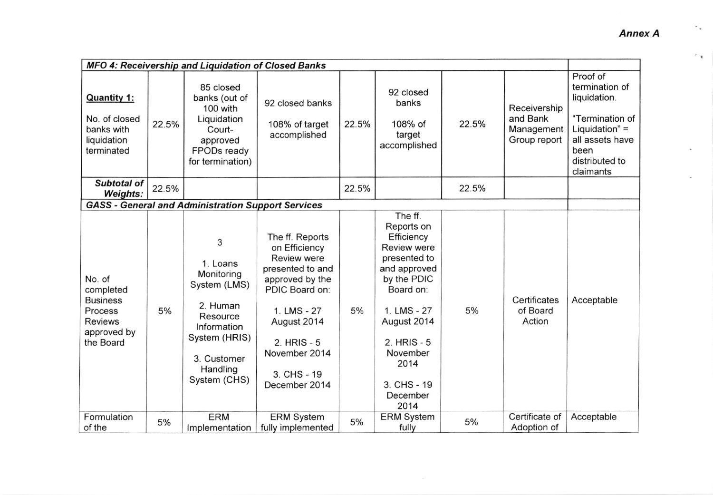| MFO 4: Receivership and Liquidation of Closed Banks                                             |       |                                                                                                                                                |                                                                                                                                                                                                                   |       |                                                                                                                                                                                                                               |       |                                                        |                                                                                                                                             |
|-------------------------------------------------------------------------------------------------|-------|------------------------------------------------------------------------------------------------------------------------------------------------|-------------------------------------------------------------------------------------------------------------------------------------------------------------------------------------------------------------------|-------|-------------------------------------------------------------------------------------------------------------------------------------------------------------------------------------------------------------------------------|-------|--------------------------------------------------------|---------------------------------------------------------------------------------------------------------------------------------------------|
| <b>Quantity 1:</b><br>No. of closed<br>banks with<br>liquidation<br>terminated                  | 22.5% | 85 closed<br>banks (out of<br>100 with<br>Liquidation<br>Court-<br>approved<br>FPODs ready<br>for termination)                                 | 92 closed banks<br>108% of target<br>accomplished                                                                                                                                                                 | 22.5% | 92 closed<br>banks<br>108% of<br>target<br>accomplished                                                                                                                                                                       | 22.5% | Receivership<br>and Bank<br>Management<br>Group report | Proof of<br>termination of<br>liquidation.<br>"Termination of<br>Liquidation" $=$<br>all assets have<br>been<br>distributed to<br>claimants |
| <b>Subtotal of</b><br><b>Weights:</b>                                                           | 22.5% |                                                                                                                                                |                                                                                                                                                                                                                   | 22.5% |                                                                                                                                                                                                                               | 22.5% |                                                        |                                                                                                                                             |
|                                                                                                 |       | <b>GASS - General and Administration Support Services</b>                                                                                      |                                                                                                                                                                                                                   |       |                                                                                                                                                                                                                               |       |                                                        |                                                                                                                                             |
| No. of<br>completed<br><b>Business</b><br>Process<br><b>Reviews</b><br>approved by<br>the Board | 5%    | 3<br>1. Loans<br>Monitoring<br>System (LMS)<br>2. Human<br>Resource<br>Information<br>System (HRIS)<br>3. Customer<br>Handling<br>System (CHS) | The ff. Reports<br>on Efficiency<br><b>Review were</b><br>presented to and<br>approved by the<br>PDIC Board on:<br>1. LMS - 27<br>August 2014<br>$2.$ HRIS - $5$<br>November 2014<br>3. CHS - 19<br>December 2014 | 5%    | The ff.<br>Reports on<br>Efficiency<br><b>Review were</b><br>presented to<br>and approved<br>by the PDIC<br>Board on:<br>1. LMS - 27<br>August 2014<br>$2.$ HRIS - $5$<br>November<br>2014<br>3. CHS - 19<br>December<br>2014 | 5%    | Certificates<br>of Board<br>Action                     | Acceptable                                                                                                                                  |
| Formulation<br>of the                                                                           | 5%    | <b>ERM</b><br>Implementation                                                                                                                   | <b>ERM System</b><br>fully implemented                                                                                                                                                                            | 5%    | <b>ERM System</b><br>fully                                                                                                                                                                                                    | 5%    | Certificate of<br>Adoption of                          | Acceptable                                                                                                                                  |

 $\sim$   $_{\rm{m}}$ 

 $\sim$   $_{\rm R}$  .

 $\sim$